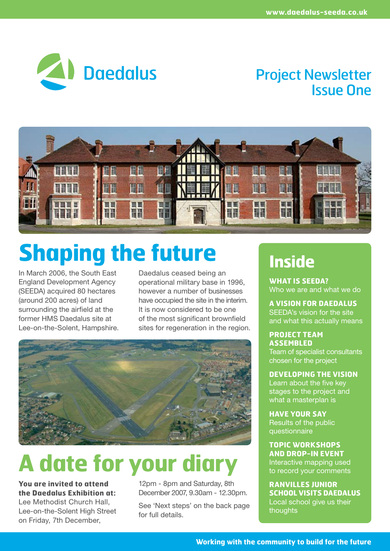

## Project Newsletter Issue One



# **Shaping the future**

In March 2006, the South East England Development Agency (SEEDA) acquired 80 hectares (around 200 acres) of land surrounding the airfield at the former HMS Daedalus site at Lee-on-the-Solent, Hampshire. Daedalus ceased being an operational military base in 1996, however a number of businesses have occupied the site in the interim. It is now considered to be one of the most significant brownfield sites for regeneration in the region.



# **A date for your diary**

**You are invited to attend the Daedalus Exhibition at:** Lee Methodist Church Hall, Lee-on-the-Solent High Street on Friday, 7th December,

12pm - 8pm and Saturday, 8th December 2007, 9.30am - 12.30pm.

See 'Next steps' on the back page for full details.

# **Inside**

**WHAT IS SEEDA?** Who we are and what we do

**A VISION FOR DAEDALUS** SEEDA's vision for the site and what this actually means

**PROJECT TEAM ASSEMBLED** Team of specialist consultants chosen for the project

**DEVELOPING THE VISION**  Learn about the five key stages to the project and what a masterplan is

**HAVE YOUR SAY** Results of the public questionnaire

**TOPIC WORKSHOPS AND DROP-IN EVENT** Interactive mapping used to record your comments

**RANVILLES JUNIOR SCHOOL VISITS DAEDALUS** Local school give us their thoughts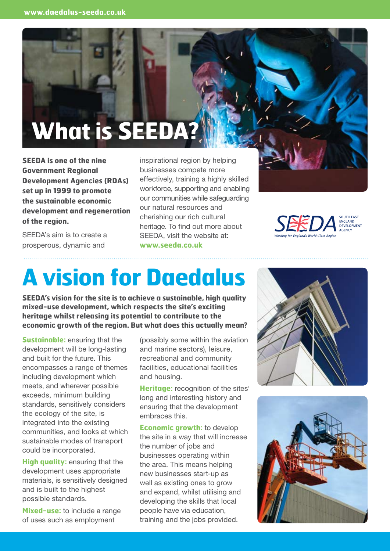# **What is SEEDA**

**SEEDA is one of the nine Government Regional Development Agencies (RDAs) set up in 1999 to promote the sustainable economic development and regeneration of the region.** 

SEEDA's aim is to create a prosperous, dynamic and

inspirational region by helping businesses compete more effectively, training a highly skilled workforce, supporting and enabling our communities while safeguarding our natural resources and cherishing our rich cultural heritage. To find out more about SEEDA, visit the website at: **www.seeda.co.uk**



ENGLAND<br>DEVELOPMENT

# **A vision for Daedalus**

**SEEDA's vision for the site is to achieve a sustainable, high quality mixed-use development, which respects the site's exciting heritage whilst releasing its potential to contribute to the economic growth of the region. But what does this actually mean?**

**Sustainable:** ensuring that the development will be long-lasting and built for the future. This encompasses a range of themes including development which meets, and wherever possible exceeds, minimum building standards, sensitively considers the ecology of the site, is integrated into the existing communities, and looks at which sustainable modes of transport could be incorporated.

**High quality:** ensuring that the development uses appropriate materials, is sensitively designed and is built to the highest possible standards.

**Mixed-use:** to include a range of uses such as employment

(possibly some within the aviation and marine sectors), leisure, recreational and community facilities, educational facilities and housing.

**Heritage:** recognition of the sites' long and interesting history and ensuring that the development embraces this.

**Economic growth:** to develop the site in a way that will increase the number of jobs and businesses operating within the area. This means helping new businesses start-up as well as existing ones to grow and expand, whilst utilising and developing the skills that local people have via education, training and the jobs provided.



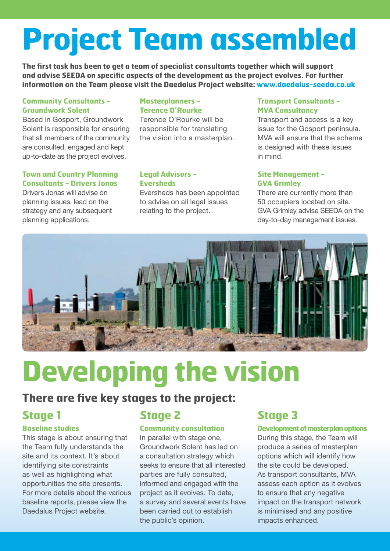# **Project Team assembled**

**The first task has been to get a team of specialist consultants together which will support and advise SEEDA on specific aspects of the development as the project evolves. For further information on the Team please visit the Daedalus Project website: www.daedalus-seeda.co.uk**

#### **Community Consultants - Groundwork Solent**

Based in Gosport, Groundwork Solent is responsible for ensuring that all members of the community are consulted, engaged and kept up-to-date as the project evolves.

#### **Town and Country Planning Consultants - Drivers Jonas**

Drivers Jonas will advise on planning issues, lead on the strategy and any subsequent planning applications.

#### **Masterplanners - Terence O'Rourke**

Terence O'Rourke will be responsible for translating the vision into a masterplan.

#### **Legal Advisors - Eversheds**

Eversheds has been appointed to advise on all legal issues relating to the project.

#### **Transport Consultants - MVA Consultancy**

Transport and access is a key issue for the Gosport peninsula. MVA will ensure that the scheme is designed with these issues in mind.

#### **Site Management - GVA Grimley**

There are currently more than 50 occupiers located on site. GVA Grimley advise SEEDA on the day-to-day management issues.



# **Developing the vision**

### **There are five key stages to the project:**

### **Stage 1**

#### **Baseline studies**

This stage is about ensuring that the Team fully understands the site and its context. It's about identifying site constraints as well as highlighting what opportunities the site presents. For more details about the various baseline reports, please view the Daedalus Project website.

## **Stage 2**

#### **Community consultation**

In parallel with stage one, Groundwork Solent has led on a consultation strategy which seeks to ensure that all interested parties are fully consulted, informed and engaged with the project as it evolves. To date, a survey and several events have been carried out to establish the public's opinion.

### **Stage 3**

#### **Development of masterplan options**

During this stage, the Team will produce a series of masterplan options which will identify how the site could be developed. As transport consultants, MVA assess each option as it evolves to ensure that any negative impact on the transport network is minimised and any positive impacts enhanced.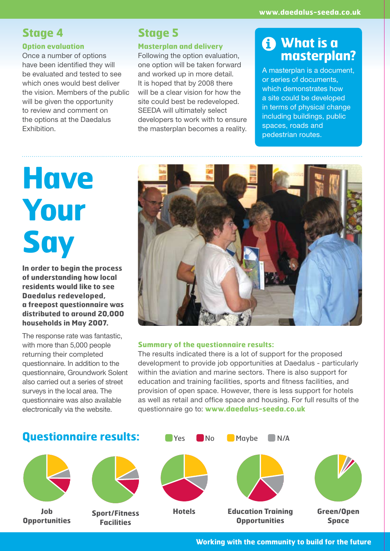### **Stage 4**

#### **Option evaluation**

Once a number of options have been identified they will be evaluated and tested to see which ones would best deliver the vision. Members of the public will be given the opportunity to review and comment on the options at the Daedalus Exhibition.

### **Stage 5**

#### **Masterplan and delivery**

Following the option evaluation, one option will be taken forward and worked up in more detail. It is hoped that by 2008 there will be a clear vision for how the site could best be redeveloped. SEEDA will ultimately select developers to work with to ensure the masterplan becomes a reality.

### **What is a i masterplan?**

A masterplan is a document, or series of documents, which demonstrates how a site could be developed in terms of physical change including buildings, public spaces, roads and pedestrian routes.

# **Have Your Say**

**In order to begin the process of understanding how local residents would like to see Daedalus redeveloped, a freepost questionnaire was distributed to around 20,000 households in May 2007.**

The response rate was fantastic, with more than 5,000 people returning their completed questionnaire. In addition to the questionnaire, Groundwork Solent also carried out a series of street surveys in the local area. The questionnaire was also available electronically via the website.



#### **Summary of the questionnaire results:**

The results indicated there is a lot of support for the proposed development to provide job opportunities at Daedalus - particularly within the aviation and marine sectors. There is also support for education and training facilities, sports and fitness facilities, and provision of open space. However, there is less support for hotels as well as retail and office space and housing. For full results of the questionnaire go to: **www.daedalus-seeda.co.uk**

### **Questionnaire results:** The The Maybe N/A



**Job Opportunities**



**Sport/Fitness Facilities**





**Hotels Education Training Green/Open Opportunities**



**Space**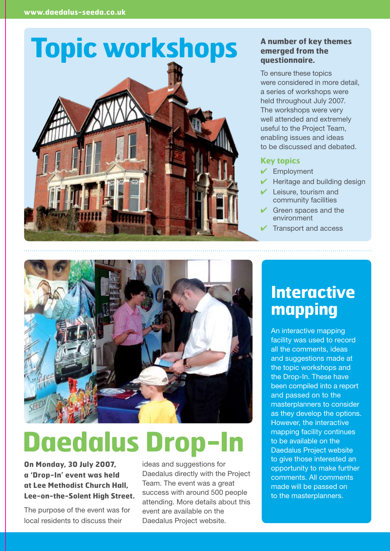

#### **A number of key themes emerged from the questionnaire.**

To ensure these topics were considered in more detail, a series of workshops were held throughout July 2007. The workshops were very well attended and extremely useful to the Project Team, enabling issues and ideas to be discussed and debated.

#### **Key topics**

- ✔ Employment
- $\blacktriangleright$  Heritage and building design
- Leisure, tourism and community facilities
- $\vee$  Green spaces and the environment
- $\vee$  Transport and access



# **Daedalus Drop-**

**On Monday, 30 July 2007, a 'Drop-In' event was held at Lee Methodist Church Hall, Lee-on-the-Solent High Street.**

The purpose of the event was for local residents to discuss their

ideas and suggestions for Daedalus directly with the Project Team. The event was a great success with around 500 people attending. More details about this event are available on the Daedalus Project website.

## **Interactive mapping**

An interactive mapping facility was used to record all the comments, ideas and suggestions made at the topic workshops and the Drop-In. These have been compiled into a report and passed on to the masterplanners to consider as they develop the options. However, the interactive mapping facility continues to be available on the Daedalus Project website to give those interested an opportunity to make further comments. All comments made will be passed on to the masterplanners.